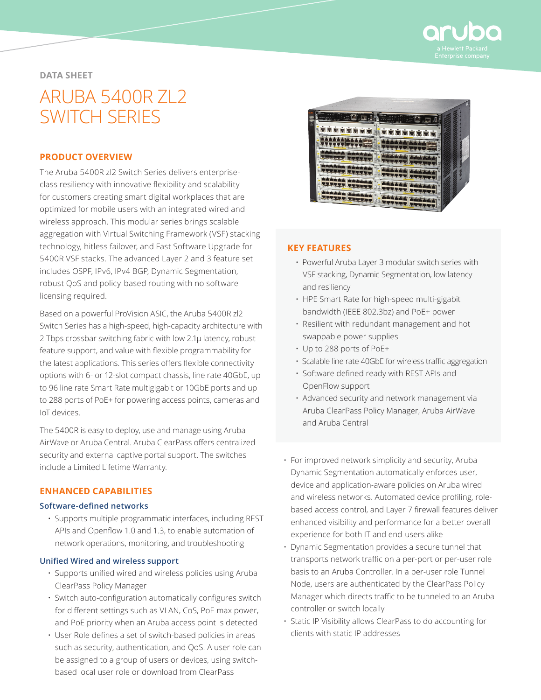

# **DATA SHEET**

# ARUBA 5400R ZL2 SWITCH SERIES

## **PRODUCT OVERVIEW**

The Aruba 5400R zl2 Switch Series delivers enterpriseclass resiliency with innovative flexibility and scalability for customers creating smart digital workplaces that are optimized for mobile users with an integrated wired and wireless approach. This modular series brings scalable aggregation with Virtual Switching Framework (VSF) stacking technology, hitless failover, and Fast Software Upgrade for 5400R VSF stacks. The advanced Layer 2 and 3 feature set includes OSPF, IPv6, IPv4 BGP, Dynamic Segmentation, robust QoS and policy-based routing with no software licensing required.

Based on a powerful ProVision ASIC, the Aruba 5400R zl2 Switch Series has a high-speed, high-capacity architecture with 2 Tbps crossbar switching fabric with low 2.1µ latency, robust feature support, and value with flexible programmability for the latest applications. This series offers flexible connectivity options with 6- or 12-slot compact chassis, line rate 40GbE, up to 96 line rate Smart Rate multigigabit or 10GbE ports and up to 288 ports of PoE+ for powering access points, cameras and IoT devices.

The 5400R is easy to deploy, use and manage using Aruba AirWave or Aruba Central. Aruba ClearPass offers centralized security and external captive portal support. The switches include a Limited Lifetime Warranty.

# **ENHANCED CAPABILITIES**

#### **Software-defined networks**

• Supports multiple programmatic interfaces, including REST APIs and Openflow 1.0 and 1.3, to enable automation of network operations, monitoring, and troubleshooting

#### **Unified Wired and wireless support**

- Supports unified wired and wireless policies using Aruba ClearPass Policy Manager
- Switch auto-configuration automatically configures switch for different settings such as VLAN, CoS, PoE max power, and PoE priority when an Aruba access point is detected
- User Role defines a set of switch-based policies in areas such as security, authentication, and QoS. A user role can be assigned to a group of users or devices, using switchbased local user role or download from ClearPass



### **KEY FEATURES**

- Powerful Aruba Layer 3 modular switch series with VSF stacking, Dynamic Segmentation, low latency and resiliency
- HPE Smart Rate for high-speed multi-gigabit bandwidth (IEEE 802.3bz) and PoE+ power
- Resilient with redundant management and hot swappable power supplies
- Up to 288 ports of PoE+
- Scalable line rate 40GbE for wireless traffic aggregation
- Software defined ready with REST APIs and OpenFlow support
- Advanced security and network management via Aruba ClearPass Policy Manager, Aruba AirWave and Aruba Central
- For improved network simplicity and security, Aruba Dynamic Segmentation automatically enforces user, device and application-aware policies on Aruba wired and wireless networks. Automated device profiling, rolebased access control, and Layer 7 firewall features deliver enhanced visibility and performance for a better overall experience for both IT and end-users alike
- Dynamic Segmentation provides a secure tunnel that transports network traffic on a per-port or per-user role basis to an Aruba Controller. In a per-user role Tunnel Node, users are authenticated by the ClearPass Policy Manager which directs traffic to be tunneled to an Aruba controller or switch locally
- Static IP Visibility allows ClearPass to do accounting for clients with static IP addresses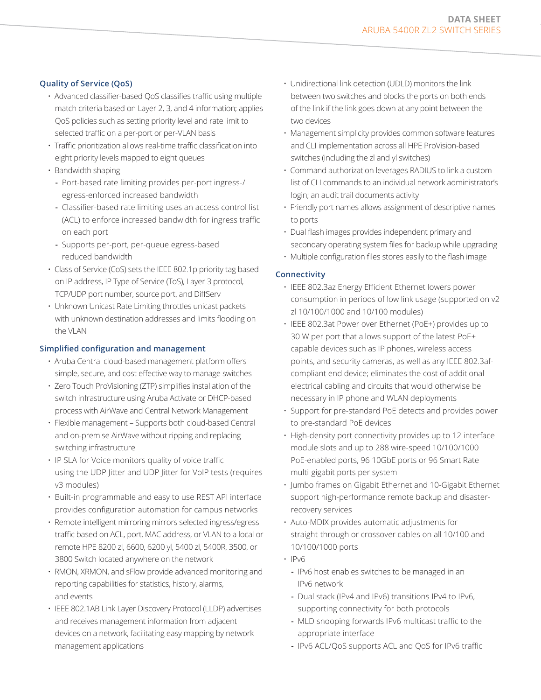# **Quality of Service (QoS)**

- Advanced classifier-based QoS classifies traffic using multiple match criteria based on Layer 2, 3, and 4 information; applies QoS policies such as setting priority level and rate limit to selected traffic on a per-port or per-VLAN basis
- Traffic prioritization allows real-time traffic classification into eight priority levels mapped to eight queues
- Bandwidth shaping
	- **-** Port-based rate limiting provides per-port ingress-/ egress-enforced increased bandwidth
	- **-** Classifier-based rate limiting uses an access control list (ACL) to enforce increased bandwidth for ingress traffic on each port
	- **-** Supports per-port, per-queue egress-based reduced bandwidth
- Class of Service (CoS) sets the IEEE 802.1p priority tag based on IP address, IP Type of Service (ToS), Layer 3 protocol, TCP/UDP port number, source port, and DiffServ
- Unknown Unicast Rate Limiting throttles unicast packets with unknown destination addresses and limits flooding on the VLAN

# **Simplified configuration and management**

- Aruba Central cloud-based management platform offers simple, secure, and cost effective way to manage switches
- Zero Touch ProVisioning (ZTP) simplifies installation of the switch infrastructure using Aruba Activate or DHCP-based process with AirWave and Central Network Management
- Flexible management Supports both cloud-based Central and on-premise AirWave without ripping and replacing switching infrastructure
- IP SLA for Voice monitors quality of voice traffic using the UDP Jitter and UDP Jitter for VoIP tests (requires v3 modules)
- Built-in programmable and easy to use REST API interface provides configuration automation for campus networks
- Remote intelligent mirroring mirrors selected ingress/egress traffic based on ACL, port, MAC address, or VLAN to a local or remote HPE 8200 zl, 6600, 6200 yl, 5400 zl, 5400R, 3500, or 3800 Switch located anywhere on the network
- RMON, XRMON, and sFlow provide advanced monitoring and reporting capabilities for statistics, history, alarms, and events
- IEEE 802.1AB Link Layer Discovery Protocol (LLDP) advertises and receives management information from adjacent devices on a network, facilitating easy mapping by network management applications
- Unidirectional link detection (UDLD) monitors the link between two switches and blocks the ports on both ends of the link if the link goes down at any point between the two devices
- Management simplicity provides common software features and CLI implementation across all HPE ProVision-based switches (including the zl and yl switches)
- Command authorization leverages RADIUS to link a custom list of CLI commands to an individual network administrator's login; an audit trail documents activity
- Friendly port names allows assignment of descriptive names to ports
- Dual flash images provides independent primary and secondary operating system files for backup while upgrading
- Multiple configuration files stores easily to the flash image

# **Connectivity**

- IEEE 802.3az Energy Efficient Ethernet lowers power consumption in periods of low link usage (supported on v2 zl 10/100/1000 and 10/100 modules)
- IEEE 802.3at Power over Ethernet (PoE+) provides up to 30 W per port that allows support of the latest PoE+ capable devices such as IP phones, wireless access points, and security cameras, as well as any IEEE 802.3afcompliant end device; eliminates the cost of additional electrical cabling and circuits that would otherwise be necessary in IP phone and WLAN deployments
- Support for pre-standard PoE detects and provides power to pre-standard PoE devices
- High-density port connectivity provides up to 12 interface module slots and up to 288 wire-speed 10/100/1000 PoE-enabled ports, 96 10GbE ports or 96 Smart Rate multi-gigabit ports per system
- Jumbo frames on Gigabit Ethernet and 10-Gigabit Ethernet support high-performance remote backup and disasterrecovery services
- Auto-MDIX provides automatic adjustments for straight-through or crossover cables on all 10/100 and 10/100/1000 ports
- $\cdot$  IPv6
	- **-** IPv6 host enables switches to be managed in an IPv6 network
	- **-** Dual stack (IPv4 and IPv6) transitions IPv4 to IPv6, supporting connectivity for both protocols
	- **-** MLD snooping forwards IPv6 multicast traffic to the appropriate interface
	- **-** IPv6 ACL/QoS supports ACL and QoS for IPv6 traffic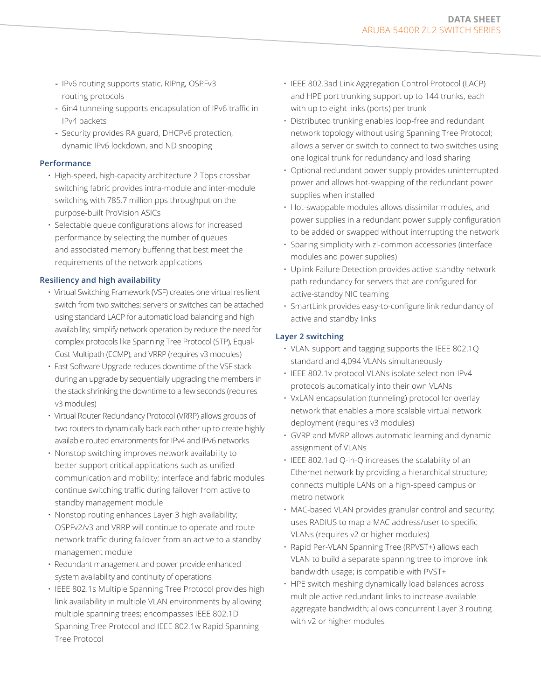- **-** IPv6 routing supports static, RIPng, OSPFv3 routing protocols
- **-** 6in4 tunneling supports encapsulation of IPv6 traffic in IPv4 packets
- **-** Security provides RA guard, DHCPv6 protection, dynamic IPv6 lockdown, and ND snooping

## **Performance**

- High-speed, high-capacity architecture 2 Tbps crossbar switching fabric provides intra-module and inter-module switching with 785.7 million pps throughput on the purpose-built ProVision ASICs
- Selectable queue configurations allows for increased performance by selecting the number of queues and associated memory buffering that best meet the requirements of the network applications

# **Resiliency and high availability**

- Virtual Switching Framework (VSF) creates one virtual resilient switch from two switches; servers or switches can be attached using standard LACP for automatic load balancing and high availability; simplify network operation by reduce the need for complex protocols like Spanning Tree Protocol (STP), Equal-Cost Multipath (ECMP), and VRRP (requires v3 modules)
- Fast Software Upgrade reduces downtime of the VSF stack during an upgrade by sequentially upgrading the members in the stack shrinking the downtime to a few seconds (requires v3 modules)
- Virtual Router Redundancy Protocol (VRRP) allows groups of two routers to dynamically back each other up to create highly available routed environments for IPv4 and IPv6 networks
- Nonstop switching improves network availability to better support critical applications such as unified communication and mobility; interface and fabric modules continue switching traffic during failover from active to standby management module
- Nonstop routing enhances Layer 3 high availability; OSPFv2/v3 and VRRP will continue to operate and route network traffic during failover from an active to a standby management module
- Redundant management and power provide enhanced system availability and continuity of operations
- IEEE 802.1s Multiple Spanning Tree Protocol provides high link availability in multiple VLAN environments by allowing multiple spanning trees; encompasses IEEE 802.1D Spanning Tree Protocol and IEEE 802.1w Rapid Spanning Tree Protocol
- IEEE 802.3ad Link Aggregation Control Protocol (LACP) and HPE port trunking support up to 144 trunks, each with up to eight links (ports) per trunk
- Distributed trunking enables loop-free and redundant network topology without using Spanning Tree Protocol; allows a server or switch to connect to two switches using one logical trunk for redundancy and load sharing
- Optional redundant power supply provides uninterrupted power and allows hot-swapping of the redundant power supplies when installed
- Hot-swappable modules allows dissimilar modules, and power supplies in a redundant power supply configuration to be added or swapped without interrupting the network
- Sparing simplicity with zl-common accessories (interface modules and power supplies)
- Uplink Failure Detection provides active-standby network path redundancy for servers that are configured for active-standby NIC teaming
- SmartLink provides easy-to-configure link redundancy of active and standby links

# **Layer 2 switching**

- VLAN support and tagging supports the IEEE 802.1Q standard and 4,094 VLANs simultaneously
- IEEE 802.1v protocol VLANs isolate select non-IPv4 protocols automatically into their own VLANs
- VxLAN encapsulation (tunneling) protocol for overlay network that enables a more scalable virtual network deployment (requires v3 modules)
- GVRP and MVRP allows automatic learning and dynamic assignment of VLANs
- IEEE 802.1ad Q-in-Q increases the scalability of an Ethernet network by providing a hierarchical structure; connects multiple LANs on a high-speed campus or metro network
- MAC-based VLAN provides granular control and security; uses RADIUS to map a MAC address/user to specific VLANs (requires v2 or higher modules)
- Rapid Per-VLAN Spanning Tree (RPVST+) allows each VLAN to build a separate spanning tree to improve link bandwidth usage; is compatible with PVST+
- HPE switch meshing dynamically load balances across multiple active redundant links to increase available aggregate bandwidth; allows concurrent Layer 3 routing with v2 or higher modules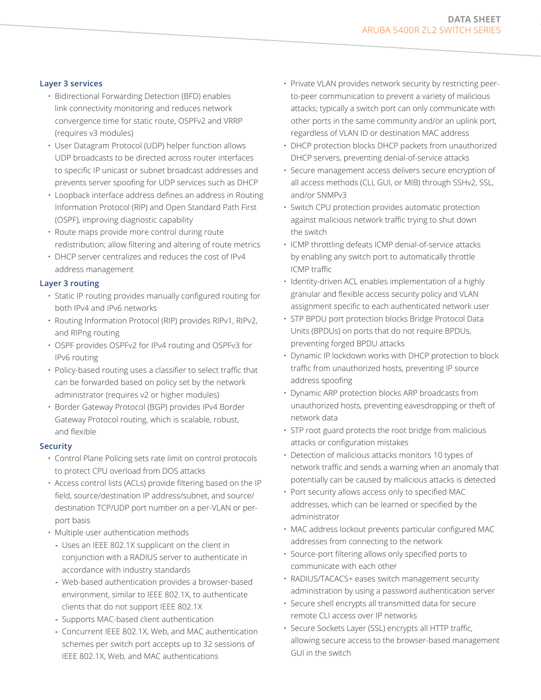## **Layer 3 services**

- Bidirectional Forwarding Detection (BFD) enables link connectivity monitoring and reduces network convergence time for static route, OSPFv2 and VRRP (requires v3 modules)
- User Datagram Protocol (UDP) helper function allows UDP broadcasts to be directed across router interfaces to specific IP unicast or subnet broadcast addresses and prevents server spoofing for UDP services such as DHCP
- Loopback interface address defines an address in Routing Information Protocol (RIP) and Open Standard Path First (OSPF), improving diagnostic capability
- Route maps provide more control during route redistribution; allow filtering and altering of route metrics
- DHCP server centralizes and reduces the cost of IPv4 address management

# **Layer 3 routing**

- Static IP routing provides manually configured routing for both IPv4 and IPv6 networks
- Routing Information Protocol (RIP) provides RIPv1, RIPv2, and RIPng routing
- OSPF provides OSPFv2 for IPv4 routing and OSPFv3 for IPv6 routing
- Policy-based routing uses a classifier to select traffic that can be forwarded based on policy set by the network administrator (requires v2 or higher modules)
- Border Gateway Protocol (BGP) provides IPv4 Border Gateway Protocol routing, which is scalable, robust, and flexible

#### **Security**

- Control Plane Policing sets rate limit on control protocols to protect CPU overload from DOS attacks
- Access control lists (ACLs) provide filtering based on the IP field, source/destination IP address/subnet, and source/ destination TCP/UDP port number on a per-VLAN or perport basis
- Multiple user authentication methods
	- **-** Uses an IEEE 802.1X supplicant on the client in conjunction with a RADIUS server to authenticate in accordance with industry standards
	- **-** Web-based authentication provides a browser-based environment, similar to IEEE 802.1X, to authenticate clients that do not support IEEE 802.1X
	- **-** Supports MAC-based client authentication
	- **-** Concurrent IEEE 802.1X, Web, and MAC authentication schemes per switch port accepts up to 32 sessions of IEEE 802.1X, Web, and MAC authentications
- Private VLAN provides network security by restricting peerto-peer communication to prevent a variety of malicious attacks; typically a switch port can only communicate with other ports in the same community and/or an uplink port, regardless of VLAN ID or destination MAC address
- DHCP protection blocks DHCP packets from unauthorized DHCP servers, preventing denial-of-service attacks
- Secure management access delivers secure encryption of all access methods (CLI, GUI, or MIB) through SSHv2, SSL, and/or SNMPv3
- Switch CPU protection provides automatic protection against malicious network traffic trying to shut down the switch
- ICMP throttling defeats ICMP denial-of-service attacks by enabling any switch port to automatically throttle ICMP traffic
- Identity-driven ACL enables implementation of a highly granular and flexible access security policy and VLAN assignment specific to each authenticated network user
- STP BPDU port protection blocks Bridge Protocol Data Units (BPDUs) on ports that do not require BPDUs, preventing forged BPDU attacks
- Dynamic IP lockdown works with DHCP protection to block traffic from unauthorized hosts, preventing IP source address spoofing
- Dynamic ARP protection blocks ARP broadcasts from unauthorized hosts, preventing eavesdropping or theft of network data
- STP root guard protects the root bridge from malicious attacks or configuration mistakes
- Detection of malicious attacks monitors 10 types of network traffic and sends a warning when an anomaly that potentially can be caused by malicious attacks is detected
- Port security allows access only to specified MAC addresses, which can be learned or specified by the administrator
- MAC address lockout prevents particular configured MAC addresses from connecting to the network
- Source-port filtering allows only specified ports to communicate with each other
- RADIUS/TACACS+ eases switch management security administration by using a password authentication server
- Secure shell encrypts all transmitted data for secure remote CLI access over IP networks
- Secure Sockets Layer (SSL) encrypts all HTTP traffic, allowing secure access to the browser-based management GUI in the switch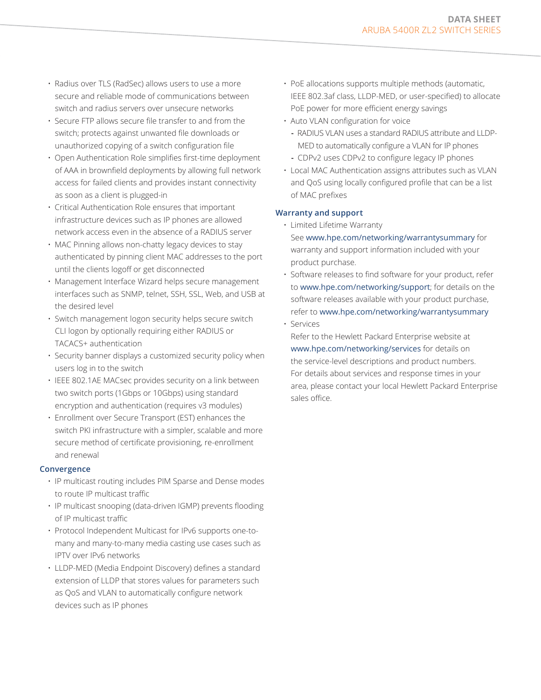- Radius over TLS (RadSec) allows users to use a more secure and reliable mode of communications between switch and radius servers over unsecure networks
- Secure FTP allows secure file transfer to and from the switch; protects against unwanted file downloads or unauthorized copying of a switch configuration file
- Open Authentication Role simplifies first-time deployment of AAA in brownfield deployments by allowing full network access for failed clients and provides instant connectivity as soon as a client is plugged-in
- Critical Authentication Role ensures that important infrastructure devices such as IP phones are allowed network access even in the absence of a RADIUS server
- MAC Pinning allows non-chatty legacy devices to stay authenticated by pinning client MAC addresses to the port until the clients logoff or get disconnected
- Management Interface Wizard helps secure management interfaces such as SNMP, telnet, SSH, SSL, Web, and USB at the desired level
- Switch management logon security helps secure switch CLI logon by optionally requiring either RADIUS or TACACS+ authentication
- Security banner displays a customized security policy when users log in to the switch
- IEEE 802.1AE MACsec provides security on a link between two switch ports (1Gbps or 10Gbps) using standard encryption and authentication (requires v3 modules)
- Enrollment over Secure Transport (EST) enhances the switch PKI infrastructure with a simpler, scalable and more secure method of certificate provisioning, re-enrollment and renewal

#### **Convergence**

- IP multicast routing includes PIM Sparse and Dense modes to route IP multicast traffic
- IP multicast snooping (data-driven IGMP) prevents flooding of IP multicast traffic
- Protocol Independent Multicast for IPv6 supports one-tomany and many-to-many media casting use cases such as IPTV over IPv6 networks
- LLDP-MED (Media Endpoint Discovery) defines a standard extension of LLDP that stores values for parameters such as QoS and VLAN to automatically configure network devices such as IP phones
- PoE allocations supports multiple methods (automatic, IEEE 802.3af class, LLDP-MED, or user-specified) to allocate PoE power for more efficient energy savings
- Auto VLAN configuration for voice
	- **-** RADIUS VLAN uses a standard RADIUS attribute and LLDP-MED to automatically configure a VLAN for IP phones
	- **-** CDPv2 uses CDPv2 to configure legacy IP phones
- Local MAC Authentication assigns attributes such as VLAN and QoS using locally configured profile that can be a list of MAC prefixes

# **Warranty and support**

- Limited Lifetime Warranty See [www.hpe.com/networking/warrantysummary](http://www.hpe.com/networking/warrantysummary) for warranty and support information included with your product purchase.
- Software releases to find software for your product, refer to [www.hpe.com/networking/support](http://www.hpe.com/networking/support); for details on the software releases available with your product purchase, refer to [www.hpe.com/networking/warrantysummary](http://www.hpe.com/networking/warrantysummary) • Services
	- Refer to the Hewlett Packard Enterprise website at [www.hpe.com/networking/services](https://www.hpe.com/networking/services) for details on the service-level descriptions and product numbers. For details about services and response times in your area, please contact your local Hewlett Packard Enterprise sales office.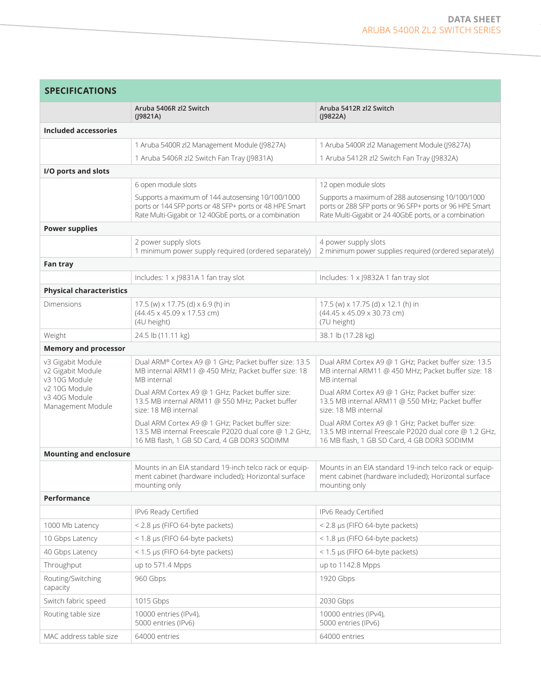| <b>SPECIFICATIONS</b>                                   |                                                                                                                                                                        |                                                                                                                                                                        |
|---------------------------------------------------------|------------------------------------------------------------------------------------------------------------------------------------------------------------------------|------------------------------------------------------------------------------------------------------------------------------------------------------------------------|
|                                                         | Aruba 5406R zl2 Switch<br>(J9821A)                                                                                                                                     | Aruba 5412R zl2 Switch<br>(J9822A)                                                                                                                                     |
| Included accessories                                    |                                                                                                                                                                        |                                                                                                                                                                        |
|                                                         | 1 Aruba 5400R zl2 Management Module (J9827A)                                                                                                                           | 1 Aruba 5400R zl2 Management Module (J9827A)                                                                                                                           |
|                                                         | 1 Aruba 5406R zl2 Switch Fan Tray (J9831A)                                                                                                                             | 1 Aruba 5412R zl2 Switch Fan Tray (J9832A)                                                                                                                             |
| I/O ports and slots                                     |                                                                                                                                                                        |                                                                                                                                                                        |
|                                                         | 6 open module slots                                                                                                                                                    | 12 open module slots                                                                                                                                                   |
|                                                         | Supports a maximum of 144 autosensing 10/100/1000<br>ports or 144 SFP ports or 48 SFP+ ports or 48 HPE Smart<br>Rate Multi-Gigabit or 12 40GbE ports, or a combination | Supports a maximum of 288 autosensing 10/100/1000<br>ports or 288 SFP ports or 96 SFP+ ports or 96 HPE Smart<br>Rate Multi-Gigabit or 24 40GbE ports, or a combination |
| <b>Power supplies</b>                                   |                                                                                                                                                                        |                                                                                                                                                                        |
|                                                         | 2 power supply slots<br>1 minimum power supply required (ordered separately)                                                                                           | 4 power supply slots<br>2 minimum power supplies required (ordered separately)                                                                                         |
| Fan tray                                                |                                                                                                                                                                        |                                                                                                                                                                        |
|                                                         | Includes: 1 x J9831A 1 fan tray slot                                                                                                                                   | Includes: 1 x J9832A 1 fan tray slot                                                                                                                                   |
| <b>Physical characteristics</b>                         |                                                                                                                                                                        |                                                                                                                                                                        |
| Dimensions                                              | 17.5 (w) x 17.75 (d) x 6.9 (h) in<br>(44.45 x 45.09 x 17.53 cm)<br>(4U height)                                                                                         | 17.5 (w) x 17.75 (d) x 12.1 (h) in<br>$(44.45 \times 45.09 \times 30.73$ cm)<br>(7U height)                                                                            |
| Weight                                                  | 24.5 lb (11.11 kg)                                                                                                                                                     | 38.1 lb (17.28 kg)                                                                                                                                                     |
| <b>Memory and processor</b>                             |                                                                                                                                                                        |                                                                                                                                                                        |
| v3 Gigabit Module<br>v2 Gigabit Module<br>v3 10G Module | Dual ARM® Cortex A9 @ 1 GHz; Packet buffer size: 13.5<br>MB internal ARM11 @ 450 MHz; Packet buffer size: 18<br>MB internal                                            | Dual ARM Cortex A9 @ 1 GHz; Packet buffer size: 13.5<br>MB internal ARM11 @ 450 MHz; Packet buffer size: 18<br>MB internal                                             |
| v2 10G Module<br>v3 40G Module<br>Management Module     | Dual ARM Cortex A9 @ 1 GHz; Packet buffer size:<br>13.5 MB internal ARM11 @ 550 MHz; Packet buffer<br>size: 18 MB internal                                             | Dual ARM Cortex A9 @ 1 GHz; Packet buffer size:<br>13.5 MB internal ARM11 @ 550 MHz; Packet buffer<br>size: 18 MB internal                                             |
|                                                         | Dual ARM Cortex A9 @ 1 GHz; Packet buffer size:<br>13.5 MB internal Freescale P2020 dual core @ 1.2 GHz,<br>16 MB flash, 1 GB SD Card, 4 GB DDR3 SODIMM                | Dual ARM Cortex A9 @ 1 GHz; Packet buffer size:<br>13.5 MB internal Freescale P2020 dual core @ 1.2 GHz.<br>16 MB flash, 1 GB SD Card, 4 GB DDR3 SODIMM                |
| <b>Mounting and enclosure</b>                           |                                                                                                                                                                        |                                                                                                                                                                        |
|                                                         | Mounts in an EIA standard 19-inch telco rack or equip-<br>ment cabinet (hardware included); Horizontal surface<br>mounting only                                        | Mounts in an EIA standard 19-inch telco rack or equip-<br>ment cabinet (hardware included); Horizontal surface<br>mounting only                                        |
| Performance                                             |                                                                                                                                                                        |                                                                                                                                                                        |
|                                                         | IPv6 Ready Certified                                                                                                                                                   | IPv6 Ready Certified                                                                                                                                                   |
| 1000 Mb Latency                                         | < 2.8 µs (FIFO 64-byte packets)                                                                                                                                        | < 2.8 µs (FIFO 64-byte packets)                                                                                                                                        |
| 10 Gbps Latency                                         | < 1.8 µs (FIFO 64-byte packets)                                                                                                                                        | < 1.8 µs (FIFO 64-byte packets)                                                                                                                                        |
| 40 Gbps Latency                                         | < 1.5 µs (FIFO 64-byte packets)                                                                                                                                        | < 1.5 µs (FIFO 64-byte packets)                                                                                                                                        |
| Throughput                                              | up to 571.4 Mpps                                                                                                                                                       | up to 1142.8 Mpps                                                                                                                                                      |
| Routing/Switching<br>capacity                           | 960 Gbps                                                                                                                                                               | 1920 Gbps                                                                                                                                                              |
| Switch fabric speed                                     | 1015 Gbps                                                                                                                                                              | 2030 Gbps                                                                                                                                                              |
| Routing table size                                      | 10000 entries (IPv4),<br>5000 entries (IPv6)                                                                                                                           | 10000 entries (IPv4),<br>5000 entries (IPv6)                                                                                                                           |
| MAC address table size                                  | 64000 entries                                                                                                                                                          | 64000 entries                                                                                                                                                          |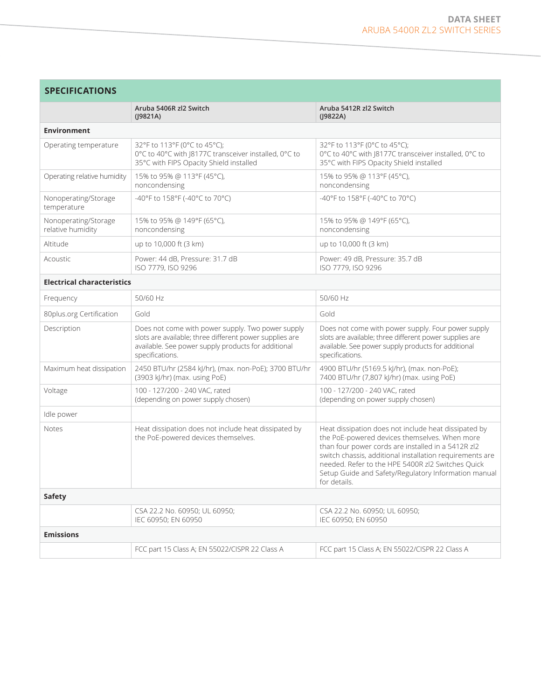| <b>SPECIFICATIONS</b>                                                                                                                                                                  |                                                                                                                                                                                                                                                                                                                                                      |  |  |
|----------------------------------------------------------------------------------------------------------------------------------------------------------------------------------------|------------------------------------------------------------------------------------------------------------------------------------------------------------------------------------------------------------------------------------------------------------------------------------------------------------------------------------------------------|--|--|
| Aruba 5406R zl2 Switch<br>(19821A)                                                                                                                                                     | Aruba 5412R zl2 Switch<br>$($  9822A)                                                                                                                                                                                                                                                                                                                |  |  |
|                                                                                                                                                                                        |                                                                                                                                                                                                                                                                                                                                                      |  |  |
| 32°F to 113°F (0°C to 45°C);<br>0°C to 40°C with J8177C transceiver installed, 0°C to<br>35°C with FIPS Opacity Shield installed                                                       | 32°F to 113°F (0°C to 45°C);<br>0°C to 40°C with J8177C transceiver installed, 0°C to<br>35°C with FIPS Opacity Shield installed                                                                                                                                                                                                                     |  |  |
| 15% to 95% @ 113°F (45°C),<br>noncondensing                                                                                                                                            | 15% to 95% @ 113°F (45°C),<br>noncondensing                                                                                                                                                                                                                                                                                                          |  |  |
| -40°F to 158°F (-40°C to 70°C)                                                                                                                                                         | -40°F to 158°F (-40°C to 70°C)                                                                                                                                                                                                                                                                                                                       |  |  |
| 15% to 95% @ 149°F (65°C),<br>noncondensing                                                                                                                                            | 15% to 95% @ 149°F (65°C),<br>noncondensing                                                                                                                                                                                                                                                                                                          |  |  |
| up to 10,000 ft (3 km)                                                                                                                                                                 | up to 10,000 ft (3 km)                                                                                                                                                                                                                                                                                                                               |  |  |
| Power: 44 dB, Pressure: 31.7 dB<br>ISO 7779, ISO 9296                                                                                                                                  | Power: 49 dB, Pressure: 35.7 dB<br>ISO 7779, ISO 9296                                                                                                                                                                                                                                                                                                |  |  |
| <b>Electrical characteristics</b>                                                                                                                                                      |                                                                                                                                                                                                                                                                                                                                                      |  |  |
| 50/60 Hz                                                                                                                                                                               | 50/60 Hz                                                                                                                                                                                                                                                                                                                                             |  |  |
| Gold                                                                                                                                                                                   | Gold                                                                                                                                                                                                                                                                                                                                                 |  |  |
| Does not come with power supply. Two power supply<br>slots are available; three different power supplies are<br>available. See power supply products for additional<br>specifications. | Does not come with power supply. Four power supply<br>slots are available; three different power supplies are<br>available. See power supply products for additional<br>specifications.                                                                                                                                                              |  |  |
| 2450 BTU/hr (2584 kJ/hr), (max. non-PoE); 3700 BTU/hr<br>(3903 kJ/hr) (max. using PoE)                                                                                                 | 4900 BTU/hr (5169.5 kJ/hr), (max. non-PoE);<br>7400 BTU/hr (7,807 kJ/hr) (max. using PoE)                                                                                                                                                                                                                                                            |  |  |
| 100 - 127/200 - 240 VAC, rated<br>(depending on power supply chosen)                                                                                                                   | 100 - 127/200 - 240 VAC, rated<br>(depending on power supply chosen)                                                                                                                                                                                                                                                                                 |  |  |
|                                                                                                                                                                                        |                                                                                                                                                                                                                                                                                                                                                      |  |  |
| Heat dissipation does not include heat dissipated by<br>the PoE-powered devices themselves.                                                                                            | Heat dissipation does not include heat dissipated by<br>the PoE-powered devices themselves. When more<br>than four power cords are installed in a 5412R zl2<br>switch chassis, additional installation requirements are<br>needed. Refer to the HPE 5400R zl2 Switches Quick<br>Setup Guide and Safety/Regulatory Information manual<br>for details. |  |  |
|                                                                                                                                                                                        |                                                                                                                                                                                                                                                                                                                                                      |  |  |
| CSA 22.2 No. 60950; UL 60950;<br>IEC 60950; EN 60950                                                                                                                                   | CSA 22.2 No. 60950; UL 60950;<br>IEC 60950; EN 60950                                                                                                                                                                                                                                                                                                 |  |  |
|                                                                                                                                                                                        |                                                                                                                                                                                                                                                                                                                                                      |  |  |
| FCC part 15 Class A; EN 55022/CISPR 22 Class A                                                                                                                                         | FCC part 15 Class A; EN 55022/CISPR 22 Class A                                                                                                                                                                                                                                                                                                       |  |  |
|                                                                                                                                                                                        |                                                                                                                                                                                                                                                                                                                                                      |  |  |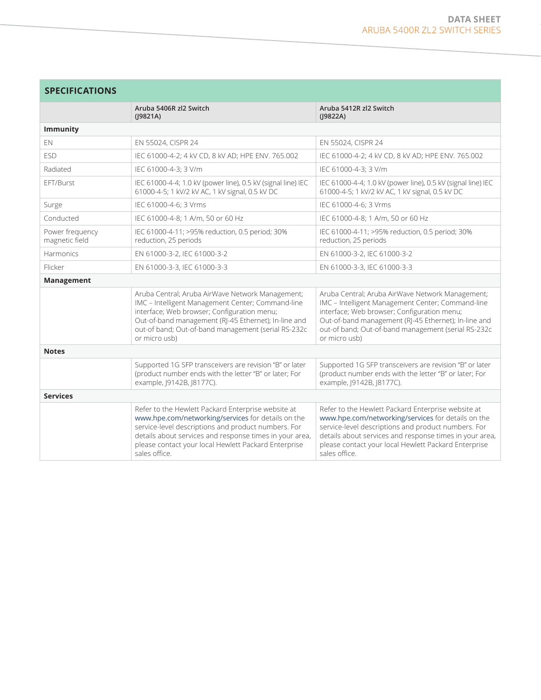| <b>SPECIFICATIONS</b>             |                                                                                                                                                                                                                                                                                                     |                                                                                                                                                                                                                                                                                                     |  |
|-----------------------------------|-----------------------------------------------------------------------------------------------------------------------------------------------------------------------------------------------------------------------------------------------------------------------------------------------------|-----------------------------------------------------------------------------------------------------------------------------------------------------------------------------------------------------------------------------------------------------------------------------------------------------|--|
|                                   | Aruba 5406R zl2 Switch<br>$($  9821A)                                                                                                                                                                                                                                                               | Aruba 5412R zl2 Switch<br>$($  9822A)                                                                                                                                                                                                                                                               |  |
| <b>Immunity</b>                   |                                                                                                                                                                                                                                                                                                     |                                                                                                                                                                                                                                                                                                     |  |
| EN.                               | EN 55024, CISPR 24                                                                                                                                                                                                                                                                                  | EN 55024, CISPR 24                                                                                                                                                                                                                                                                                  |  |
| <b>ESD</b>                        | IEC 61000-4-2; 4 kV CD, 8 kV AD; HPE ENV. 765.002                                                                                                                                                                                                                                                   | IEC 61000-4-2; 4 kV CD, 8 kV AD; HPE ENV. 765.002                                                                                                                                                                                                                                                   |  |
| Radiated                          | IEC 61000-4-3: 3 V/m                                                                                                                                                                                                                                                                                | IEC 61000-4-3: 3 V/m                                                                                                                                                                                                                                                                                |  |
| EFT/Burst                         | IEC 61000-4-4; 1.0 kV (power line), 0.5 kV (signal line) IEC<br>61000-4-5; 1 kV/2 kV AC, 1 kV signal, 0.5 kV DC                                                                                                                                                                                     | IEC 61000-4-4; 1.0 kV (power line), 0.5 kV (signal line) IEC<br>61000-4-5; 1 kV/2 kV AC, 1 kV signal, 0.5 kV DC                                                                                                                                                                                     |  |
| Surge                             | IEC 61000-4-6; 3 Vrms                                                                                                                                                                                                                                                                               | IEC 61000-4-6; 3 Vrms                                                                                                                                                                                                                                                                               |  |
| Conducted                         | IEC 61000-4-8; 1 A/m, 50 or 60 Hz                                                                                                                                                                                                                                                                   | IEC 61000-4-8; 1 A/m, 50 or 60 Hz                                                                                                                                                                                                                                                                   |  |
| Power frequency<br>magnetic field | IEC 61000-4-11; >95% reduction, 0.5 period; 30%<br>reduction, 25 periods                                                                                                                                                                                                                            | IEC 61000-4-11; >95% reduction, 0.5 period; 30%<br>reduction, 25 periods                                                                                                                                                                                                                            |  |
| <b>Harmonics</b>                  | EN 61000-3-2, IEC 61000-3-2                                                                                                                                                                                                                                                                         | EN 61000-3-2, IEC 61000-3-2                                                                                                                                                                                                                                                                         |  |
| Flicker                           | EN 61000-3-3, IEC 61000-3-3                                                                                                                                                                                                                                                                         | EN 61000-3-3, IEC 61000-3-3                                                                                                                                                                                                                                                                         |  |
| Management                        |                                                                                                                                                                                                                                                                                                     |                                                                                                                                                                                                                                                                                                     |  |
|                                   | Aruba Central; Aruba AirWave Network Management;<br>IMC - Intelligent Management Center; Command-line<br>interface; Web browser; Configuration menu;<br>Out-of-band management (RJ-45 Ethernet); In-line and<br>out-of band; Out-of-band management (serial RS-232c<br>or micro usb)                | Aruba Central; Aruba AirWave Network Management;<br>IMC - Intelligent Management Center; Command-line<br>interface; Web browser; Configuration menu;<br>Out-of-band management (RJ-45 Ethernet); In-line and<br>out-of band; Out-of-band management (serial RS-232c<br>or micro usb)                |  |
| <b>Notes</b>                      |                                                                                                                                                                                                                                                                                                     |                                                                                                                                                                                                                                                                                                     |  |
|                                   | Supported 1G SFP transceivers are revision "B" or later<br>(product number ends with the letter "B" or later; For<br>example, J9142B, J8177C).                                                                                                                                                      | Supported 1G SFP transceivers are revision "B" or later<br>(product number ends with the letter "B" or later; For<br>example, J9142B, J8177C).                                                                                                                                                      |  |
| <b>Services</b>                   |                                                                                                                                                                                                                                                                                                     |                                                                                                                                                                                                                                                                                                     |  |
|                                   | Refer to the Hewlett Packard Enterprise website at<br>www.hpe.com/networking/services for details on the<br>service-level descriptions and product numbers. For<br>details about services and response times in your area,<br>please contact your local Hewlett Packard Enterprise<br>sales office. | Refer to the Hewlett Packard Enterprise website at<br>www.hpe.com/networking/services for details on the<br>service-level descriptions and product numbers. For<br>details about services and response times in your area,<br>please contact your local Hewlett Packard Enterprise<br>sales office. |  |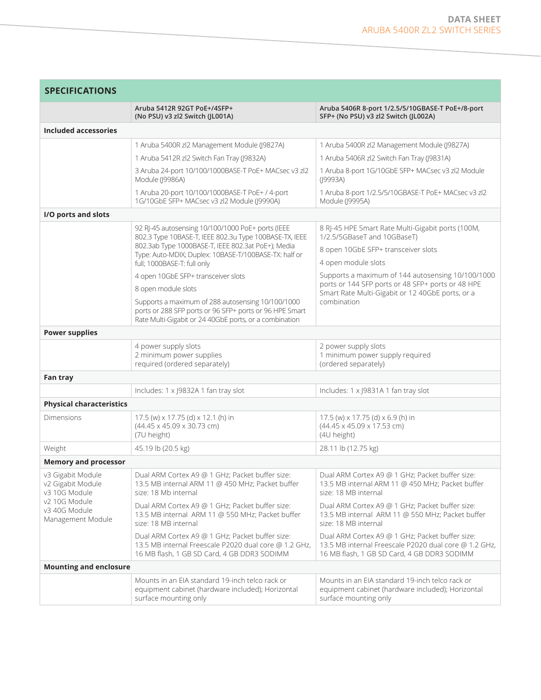| <b>SPECIFICATIONS</b>                                                                                          |                                                                                                                                                                        |                                                                                                                                                         |  |
|----------------------------------------------------------------------------------------------------------------|------------------------------------------------------------------------------------------------------------------------------------------------------------------------|---------------------------------------------------------------------------------------------------------------------------------------------------------|--|
|                                                                                                                | Aruba 5412R 92GT PoE+/4SFP+<br>(No PSU) v3 zl2 Switch (JL001A)                                                                                                         | Aruba 5406R 8-port 1/2.5/5/10GBASE-T PoE+/8-port<br>SFP+ (No PSU) v3 zl2 Switch (JL002A)                                                                |  |
| Included accessories                                                                                           |                                                                                                                                                                        |                                                                                                                                                         |  |
|                                                                                                                | 1 Aruba 5400R zl2 Management Module (J9827A)                                                                                                                           | 1 Aruba 5400R zl2 Management Module (J9827A)                                                                                                            |  |
|                                                                                                                | 1 Aruba 5412R zl2 Switch Fan Tray (J9832A)                                                                                                                             | 1 Aruba 5406R zl2 Switch Fan Tray (J9831A)                                                                                                              |  |
|                                                                                                                | 3 Aruba 24-port 10/100/1000BASE-T PoE+ MACsec v3 zl2<br>Module (J9986A)                                                                                                | 1 Aruba 8-port 1G/10GbE SFP+ MACsec v3 zl2 Module<br>(J9993A)                                                                                           |  |
|                                                                                                                | 1 Aruba 20-port 10/100/1000BASE-T PoE+ / 4-port<br>1G/10GbE SFP+ MACsec v3 zl2 Module (J9990A)                                                                         | 1 Aruba 8-port 1/2.5/5/10GBASE-T PoE+ MACsec v3 zl2<br>Module (J9995A)                                                                                  |  |
| I/O ports and slots                                                                                            |                                                                                                                                                                        |                                                                                                                                                         |  |
|                                                                                                                | 92 RJ-45 autosensing 10/100/1000 PoE+ ports (IEEE<br>802.3 Type 10BASE-T, IEEE 802.3u Type 100BASE-TX, IEEE<br>802.3ab Type 1000BASE-T, IEEE 802.3at PoE+); Media      | 8 RJ-45 HPE Smart Rate Multi-Gigabit ports (100M,<br>1/2.5/5GBaseT and 10GBaseT)                                                                        |  |
|                                                                                                                | Type: Auto-MDIX; Duplex: 10BASE-T/100BASE-TX: half or                                                                                                                  | 8 open 10GbE SFP+ transceiver slots<br>4 open module slots                                                                                              |  |
|                                                                                                                | full; 1000BASE-T: full only<br>4 open 10GbE SFP+ transceiver slots                                                                                                     | Supports a maximum of 144 autosensing 10/100/1000                                                                                                       |  |
|                                                                                                                | 8 open module slots                                                                                                                                                    | ports or 144 SFP ports or 48 SFP+ ports or 48 HPE                                                                                                       |  |
|                                                                                                                | Supports a maximum of 288 autosensing 10/100/1000<br>ports or 288 SFP ports or 96 SFP+ ports or 96 HPE Smart<br>Rate Multi-Gigabit or 24 40GbE ports, or a combination | Smart Rate Multi-Gigabit or 12 40GbE ports, or a<br>combination                                                                                         |  |
| <b>Power supplies</b>                                                                                          |                                                                                                                                                                        |                                                                                                                                                         |  |
|                                                                                                                | 4 power supply slots<br>2 minimum power supplies<br>required (ordered separately)                                                                                      | 2 power supply slots<br>1 minimum power supply required<br>(ordered separately)                                                                         |  |
| Fan tray                                                                                                       |                                                                                                                                                                        |                                                                                                                                                         |  |
|                                                                                                                | Includes: 1 x J9832A 1 fan tray slot                                                                                                                                   | Includes: 1 x J9831A 1 fan tray slot                                                                                                                    |  |
| <b>Physical characteristics</b>                                                                                |                                                                                                                                                                        |                                                                                                                                                         |  |
| Dimensions                                                                                                     | 17.5 (w) x 17.75 (d) x 12.1 (h) in<br>$(44.45 \times 45.09 \times 30.73$ cm)<br>(7U height)                                                                            | 17.5 (w) x 17.75 (d) x 6.9 (h) in<br>(44.45 x 45.09 x 17.53 cm)<br>(4U height)                                                                          |  |
| Weight                                                                                                         | 45.19 lb (20.5 kg)                                                                                                                                                     | 28.11 lb (12.75 kg)                                                                                                                                     |  |
| <b>Memory and processor</b>                                                                                    |                                                                                                                                                                        |                                                                                                                                                         |  |
| v3 Gigabit Module<br>v2 Gigabit Module<br>v3 10G Module<br>v2 10G Module<br>v3 40G Module<br>Management Module | Dual ARM Cortex A9 @ 1 GHz; Packet buffer size:<br>13.5 MB internal ARM 11 @ 450 MHz; Packet buffer<br>size: 18 Mb internal                                            | Dual ARM Cortex A9 @ 1 GHz; Packet buffer size:<br>13.5 MB internal ARM 11 @ 450 MHz; Packet buffer<br>size: 18 MB internal                             |  |
|                                                                                                                | Dual ARM Cortex A9 @ 1 GHz; Packet buffer size:<br>13.5 MB internal ARM 11 @ 550 MHz; Packet buffer<br>size: 18 MB internal                                            | Dual ARM Cortex A9 @ 1 GHz; Packet buffer size:<br>13.5 MB internal ARM 11 @ 550 MHz; Packet buffer<br>size: 18 MB internal                             |  |
|                                                                                                                | Dual ARM Cortex A9 @ 1 GHz; Packet buffer size:<br>13.5 MB internal Freescale P2020 dual core @ 1.2 GHz,<br>16 MB flash, 1 GB SD Card, 4 GB DDR3 SODIMM                | Dual ARM Cortex A9 @ 1 GHz; Packet buffer size:<br>13.5 MB internal Freescale P2020 dual core @ 1.2 GHz,<br>16 MB flash, 1 GB SD Card, 4 GB DDR3 SODIMM |  |
| <b>Mounting and enclosure</b>                                                                                  |                                                                                                                                                                        |                                                                                                                                                         |  |
|                                                                                                                | Mounts in an EIA standard 19-inch telco rack or<br>equipment cabinet (hardware included); Horizontal<br>surface mounting only                                          | Mounts in an EIA standard 19-inch telco rack or<br>equipment cabinet (hardware included); Horizontal<br>surface mounting only                           |  |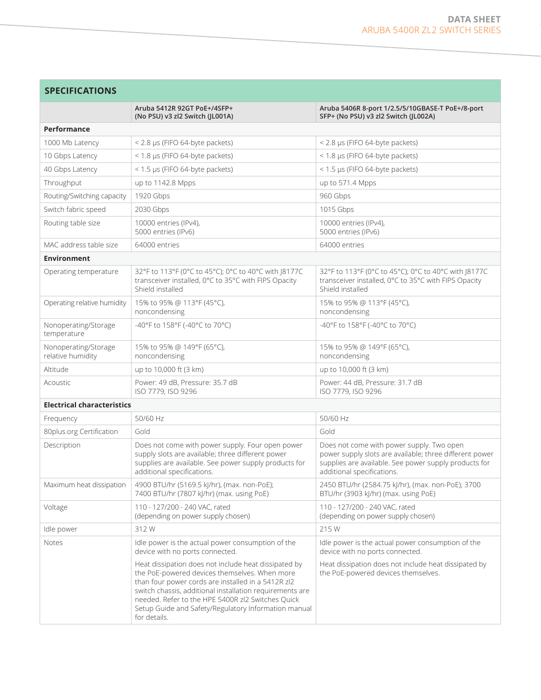|                                           | Aruba 5412R 92GT PoE+/4SFP+<br>(No PSU) v3 zl2 Switch (JL001A)                                                                                                                                                                                                                                                                                       | Aruba 5406R 8-port 1/2.5/5/10GBASE-T PoE+/8-port<br>SFP+ (No PSU) v3 zl2 Switch (JL002A)                                                                                                    |
|-------------------------------------------|------------------------------------------------------------------------------------------------------------------------------------------------------------------------------------------------------------------------------------------------------------------------------------------------------------------------------------------------------|---------------------------------------------------------------------------------------------------------------------------------------------------------------------------------------------|
| Performance                               |                                                                                                                                                                                                                                                                                                                                                      |                                                                                                                                                                                             |
| 1000 Mb Latency                           | < 2.8 µs (FIFO 64-byte packets)                                                                                                                                                                                                                                                                                                                      | < 2.8 µs (FIFO 64-byte packets)                                                                                                                                                             |
| 10 Gbps Latency                           | < 1.8 µs (FIFO 64-byte packets)                                                                                                                                                                                                                                                                                                                      | < 1.8 µs (FIFO 64-byte packets)                                                                                                                                                             |
| 40 Gbps Latency                           | < 1.5 µs (FIFO 64-byte packets)                                                                                                                                                                                                                                                                                                                      | < 1.5 µs (FIFO 64-byte packets)                                                                                                                                                             |
| Throughput                                | up to 1142.8 Mpps                                                                                                                                                                                                                                                                                                                                    | up to 571.4 Mpps                                                                                                                                                                            |
| Routing/Switching capacity                | 1920 Gbps                                                                                                                                                                                                                                                                                                                                            | 960 Gbps                                                                                                                                                                                    |
| Switch fabric speed                       | 2030 Gbps                                                                                                                                                                                                                                                                                                                                            | 1015 Gbps                                                                                                                                                                                   |
| Routing table size                        | 10000 entries (IPv4),<br>5000 entries (IPv6)                                                                                                                                                                                                                                                                                                         | 10000 entries (IPv4),<br>5000 entries (IPv6)                                                                                                                                                |
| MAC address table size                    | 64000 entries                                                                                                                                                                                                                                                                                                                                        | 64000 entries                                                                                                                                                                               |
| <b>Environment</b>                        |                                                                                                                                                                                                                                                                                                                                                      |                                                                                                                                                                                             |
| Operating temperature                     | 32°F to 113°F (0°C to 45°C); 0°C to 40°C with J8177C<br>transceiver installed, 0°C to 35°C with FIPS Opacity<br>Shield installed                                                                                                                                                                                                                     | 32°F to 113°F (0°C to 45°C); 0°C to 40°C with J8177C<br>transceiver installed, 0°C to 35°C with FIPS Opacity<br>Shield installed                                                            |
| Operating relative humidity               | 15% to 95% @ 113°F (45°C),<br>noncondensing                                                                                                                                                                                                                                                                                                          | 15% to 95% @ 113°F (45°C),<br>noncondensing                                                                                                                                                 |
| Nonoperating/Storage<br>temperature       | -40°F to 158°F (-40°C to 70°C)                                                                                                                                                                                                                                                                                                                       | -40°F to 158°F (-40°C to 70°C)                                                                                                                                                              |
| Nonoperating/Storage<br>relative humidity | 15% to 95% @ 149°F (65°C),<br>noncondensing                                                                                                                                                                                                                                                                                                          | 15% to 95% @ 149°F (65°C),<br>noncondensing                                                                                                                                                 |
| Altitude                                  | up to 10,000 ft (3 km)                                                                                                                                                                                                                                                                                                                               | up to 10,000 ft (3 km)                                                                                                                                                                      |
| Acoustic                                  | Power: 49 dB, Pressure: 35.7 dB<br>ISO 7779, ISO 9296                                                                                                                                                                                                                                                                                                | Power: 44 dB, Pressure: 31.7 dB<br>ISO 7779, ISO 9296                                                                                                                                       |
| <b>Electrical characteristics</b>         |                                                                                                                                                                                                                                                                                                                                                      |                                                                                                                                                                                             |
| Frequency                                 | 50/60 Hz                                                                                                                                                                                                                                                                                                                                             | 50/60 Hz                                                                                                                                                                                    |
| 80plus.org Certification                  | Gold                                                                                                                                                                                                                                                                                                                                                 | Gold                                                                                                                                                                                        |
| Description                               | Does not come with power supply. Four open power<br>supply slots are available; three different power<br>supplies are available. See power supply products for<br>additional specifications.                                                                                                                                                         | Does not come with power supply. Two open<br>power supply slots are available; three different power<br>supplies are available. See power supply products for<br>additional specifications. |
| Maximum heat dissipation                  | 4900 BTU/hr (5169.5 kJ/hr), (max. non-PoE);<br>7400 BTU/hr (7807 kJ/hr) (max. using PoE)                                                                                                                                                                                                                                                             | 2450 BTU/hr (2584.75 kJ/hr), (max. non-PoE); 3700<br>BTU/hr (3903 kJ/hr) (max. using PoE)                                                                                                   |
| Voltage                                   | 110 - 127/200 - 240 VAC, rated<br>(depending on power supply chosen)                                                                                                                                                                                                                                                                                 | 110 - 127/200 - 240 VAC, rated<br>(depending on power supply chosen)                                                                                                                        |
| Idle power                                | 312W                                                                                                                                                                                                                                                                                                                                                 | 215W                                                                                                                                                                                        |
| <b>Notes</b>                              | Idle power is the actual power consumption of the<br>device with no ports connected.                                                                                                                                                                                                                                                                 | Idle power is the actual power consumption of the<br>device with no ports connected.                                                                                                        |
|                                           | Heat dissipation does not include heat dissipated by<br>the PoE-powered devices themselves. When more<br>than four power cords are installed in a 5412R zl2<br>switch chassis, additional installation requirements are<br>needed. Refer to the HPE 5400R zl2 Switches Quick<br>Setup Guide and Safety/Regulatory Information manual<br>for details. | Heat dissipation does not include heat dissipated by<br>the PoE-powered devices themselves.                                                                                                 |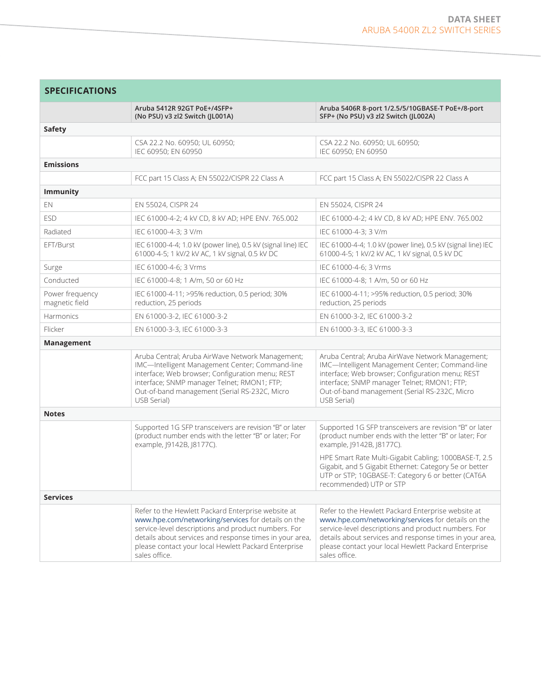| <b>SPECIFICATIONS</b>             |                                                                                                                                                                                                                                                                                                     |                                                                                                                                                                                                                                                                                                     |
|-----------------------------------|-----------------------------------------------------------------------------------------------------------------------------------------------------------------------------------------------------------------------------------------------------------------------------------------------------|-----------------------------------------------------------------------------------------------------------------------------------------------------------------------------------------------------------------------------------------------------------------------------------------------------|
|                                   | Aruba 5412R 92GT PoE+/4SFP+<br>(No PSU) v3 zl2 Switch (JL001A)                                                                                                                                                                                                                                      | Aruba 5406R 8-port 1/2.5/5/10GBASE-T PoE+/8-port<br>SFP+ (No PSU) v3 zl2 Switch (JL002A)                                                                                                                                                                                                            |
| <b>Safety</b>                     |                                                                                                                                                                                                                                                                                                     |                                                                                                                                                                                                                                                                                                     |
|                                   | CSA 22.2 No. 60950; UL 60950;<br>IEC 60950; EN 60950                                                                                                                                                                                                                                                | CSA 22.2 No. 60950; UL 60950;<br>IEC 60950; EN 60950                                                                                                                                                                                                                                                |
| <b>Emissions</b>                  |                                                                                                                                                                                                                                                                                                     |                                                                                                                                                                                                                                                                                                     |
|                                   | FCC part 15 Class A; EN 55022/CISPR 22 Class A                                                                                                                                                                                                                                                      | FCC part 15 Class A; EN 55022/CISPR 22 Class A                                                                                                                                                                                                                                                      |
| <b>Immunity</b>                   |                                                                                                                                                                                                                                                                                                     |                                                                                                                                                                                                                                                                                                     |
| EN                                | EN 55024, CISPR 24                                                                                                                                                                                                                                                                                  | EN 55024, CISPR 24                                                                                                                                                                                                                                                                                  |
| <b>ESD</b>                        | IEC 61000-4-2; 4 kV CD, 8 kV AD; HPE ENV. 765.002                                                                                                                                                                                                                                                   | IEC 61000-4-2; 4 kV CD, 8 kV AD; HPE ENV. 765.002                                                                                                                                                                                                                                                   |
| Radiated                          | IEC 61000-4-3; 3 V/m                                                                                                                                                                                                                                                                                | IEC 61000-4-3; 3 V/m                                                                                                                                                                                                                                                                                |
| EFT/Burst                         | IEC 61000-4-4; 1.0 kV (power line), 0.5 kV (signal line) IEC<br>61000-4-5; 1 kV/2 kV AC, 1 kV signal, 0.5 kV DC                                                                                                                                                                                     | IEC 61000-4-4; 1.0 kV (power line), 0.5 kV (signal line) IEC<br>61000-4-5; 1 kV/2 kV AC, 1 kV signal, 0.5 kV DC                                                                                                                                                                                     |
| Surge                             | IEC 61000-4-6: 3 Vrms                                                                                                                                                                                                                                                                               | IEC 61000-4-6: 3 Vrms                                                                                                                                                                                                                                                                               |
| Conducted                         | IEC 61000-4-8; 1 A/m, 50 or 60 Hz                                                                                                                                                                                                                                                                   | IEC 61000-4-8; 1 A/m, 50 or 60 Hz                                                                                                                                                                                                                                                                   |
| Power frequency<br>magnetic field | IEC 61000-4-11; >95% reduction, 0.5 period; 30%<br>reduction, 25 periods                                                                                                                                                                                                                            | IEC 61000-4-11; >95% reduction, 0.5 period; 30%<br>reduction, 25 periods                                                                                                                                                                                                                            |
| <b>Harmonics</b>                  | EN 61000-3-2, IEC 61000-3-2                                                                                                                                                                                                                                                                         | EN 61000-3-2, IEC 61000-3-2                                                                                                                                                                                                                                                                         |
| Flicker                           | EN 61000-3-3, IEC 61000-3-3                                                                                                                                                                                                                                                                         | EN 61000-3-3, IEC 61000-3-3                                                                                                                                                                                                                                                                         |
| Management                        |                                                                                                                                                                                                                                                                                                     |                                                                                                                                                                                                                                                                                                     |
|                                   | Aruba Central; Aruba AirWave Network Management;<br>IMC-Intelligent Management Center; Command-line<br>interface; Web browser; Configuration menu; REST<br>interface; SNMP manager Telnet; RMON1; FTP;<br>Out-of-band management (Serial RS-232C, Micro<br>USB Serial)                              | Aruba Central; Aruba AirWave Network Management;<br>IMC-Intelligent Management Center; Command-line<br>interface; Web browser; Configuration menu; REST<br>interface; SNMP manager Telnet; RMON1; FTP;<br>Out-of-band management (Serial RS-232C, Micro<br>USB Serial)                              |
| <b>Notes</b>                      |                                                                                                                                                                                                                                                                                                     |                                                                                                                                                                                                                                                                                                     |
|                                   | Supported 1G SFP transceivers are revision "B" or later<br>(product number ends with the letter "B" or later; For<br>example, J9142B, J8177C).                                                                                                                                                      | Supported 1G SFP transceivers are revision "B" or later<br>(product number ends with the letter "B" or later; For<br>example, J9142B, J8177C).                                                                                                                                                      |
|                                   |                                                                                                                                                                                                                                                                                                     | HPE Smart Rate Multi-Gigabit Cabling; 1000BASE-T, 2.5<br>Gigabit, and 5 Gigabit Ethernet: Category 5e or better<br>UTP or STP; 10GBASE-T: Category 6 or better (CAT6A<br>recommended) UTP or STP                                                                                                    |
| <b>Services</b>                   |                                                                                                                                                                                                                                                                                                     |                                                                                                                                                                                                                                                                                                     |
|                                   | Refer to the Hewlett Packard Enterprise website at<br>www.hpe.com/networking/services for details on the<br>service-level descriptions and product numbers. For<br>details about services and response times in your area,<br>please contact your local Hewlett Packard Enterprise<br>sales office. | Refer to the Hewlett Packard Enterprise website at<br>www.hpe.com/networking/services for details on the<br>service-level descriptions and product numbers. For<br>details about services and response times in your area,<br>please contact your local Hewlett Packard Enterprise<br>sales office. |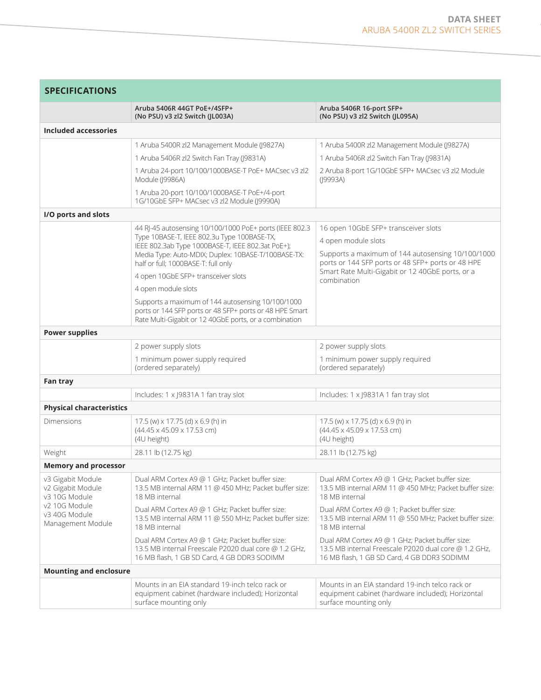| <b>SPECIFICATIONS</b>                                                                                          |                                                                                                                                                                                                                                                                                                                         |                                                                                                                                                                                                                                          |  |
|----------------------------------------------------------------------------------------------------------------|-------------------------------------------------------------------------------------------------------------------------------------------------------------------------------------------------------------------------------------------------------------------------------------------------------------------------|------------------------------------------------------------------------------------------------------------------------------------------------------------------------------------------------------------------------------------------|--|
|                                                                                                                | Aruba 5406R 44GT PoE+/4SFP+<br>(No PSU) v3 zl2 Switch (JL003A)                                                                                                                                                                                                                                                          | Aruba 5406R 16-port SFP+<br>(No PSU) v3 zl2 Switch (JL095A)                                                                                                                                                                              |  |
| Included accessories                                                                                           |                                                                                                                                                                                                                                                                                                                         |                                                                                                                                                                                                                                          |  |
|                                                                                                                | 1 Aruba 5400R zl2 Management Module (J9827A)                                                                                                                                                                                                                                                                            | 1 Aruba 5400R zl2 Management Module (J9827A)                                                                                                                                                                                             |  |
|                                                                                                                | 1 Aruba 5406R zl2 Switch Fan Tray (J9831A)                                                                                                                                                                                                                                                                              | 1 Aruba 5406R zl2 Switch Fan Tray (J9831A)                                                                                                                                                                                               |  |
|                                                                                                                | 1 Aruba 24-port 10/100/1000BASE-T PoE+ MACsec v3 zl2<br>Module (J9986A)                                                                                                                                                                                                                                                 | 2 Aruba 8-port 1G/10GbE SFP+ MACsec v3 zl2 Module<br>(19993A)                                                                                                                                                                            |  |
|                                                                                                                | 1 Aruba 20-port 10/100/1000BASE-T PoE+/4-port<br>1G/10GbE SFP+ MACsec v3 zl2 Module (J9990A)                                                                                                                                                                                                                            |                                                                                                                                                                                                                                          |  |
| I/O ports and slots                                                                                            |                                                                                                                                                                                                                                                                                                                         |                                                                                                                                                                                                                                          |  |
|                                                                                                                | 44 RJ-45 autosensing 10/100/1000 PoE+ ports (IEEE 802.3<br>Type 10BASE-T, IEEE 802.3u Type 100BASE-TX,<br>IEEE 802.3ab Type 1000BASE-T, IEEE 802.3at PoE+);<br>Media Type: Auto-MDIX; Duplex: 10BASE-T/100BASE-TX:<br>half or full; 1000BASE-T: full only<br>4 open 10GbE SFP+ transceiver slots<br>4 open module slots | 16 open 10GbE SFP+ transceiver slots<br>4 open module slots<br>Supports a maximum of 144 autosensing 10/100/1000<br>ports or 144 SFP ports or 48 SFP+ ports or 48 HPE<br>Smart Rate Multi-Gigabit or 12 40GbE ports, or a<br>combination |  |
|                                                                                                                | Supports a maximum of 144 autosensing 10/100/1000<br>ports or 144 SFP ports or 48 SFP+ ports or 48 HPE Smart<br>Rate Multi-Gigabit or 12 40GbE ports, or a combination                                                                                                                                                  |                                                                                                                                                                                                                                          |  |
| <b>Power supplies</b>                                                                                          |                                                                                                                                                                                                                                                                                                                         |                                                                                                                                                                                                                                          |  |
|                                                                                                                | 2 power supply slots                                                                                                                                                                                                                                                                                                    | 2 power supply slots                                                                                                                                                                                                                     |  |
|                                                                                                                | 1 minimum power supply required<br>(ordered separately)                                                                                                                                                                                                                                                                 | 1 minimum power supply required<br>(ordered separately)                                                                                                                                                                                  |  |
| Fan tray                                                                                                       |                                                                                                                                                                                                                                                                                                                         |                                                                                                                                                                                                                                          |  |
|                                                                                                                | Includes: 1 x J9831A 1 fan tray slot                                                                                                                                                                                                                                                                                    | Includes: 1 x J9831A 1 fan tray slot                                                                                                                                                                                                     |  |
| <b>Physical characteristics</b>                                                                                |                                                                                                                                                                                                                                                                                                                         |                                                                                                                                                                                                                                          |  |
| Dimensions                                                                                                     | 17.5 (w) x 17.75 (d) x 6.9 (h) in<br>(44.45 x 45.09 x 17.53 cm)<br>(4U height)                                                                                                                                                                                                                                          | 17.5 (w) x 17.75 (d) x 6.9 (h) in<br>(44.45 x 45.09 x 17.53 cm)<br>(4U height)                                                                                                                                                           |  |
| Weight                                                                                                         | 28.11 lb (12.75 kg)                                                                                                                                                                                                                                                                                                     | 28.11 lb (12.75 kg)                                                                                                                                                                                                                      |  |
| <b>Memory and processor</b>                                                                                    |                                                                                                                                                                                                                                                                                                                         |                                                                                                                                                                                                                                          |  |
| v3 Gigabit Module<br>v2 Gigabit Module<br>v3 10G Module<br>v2 10G Module<br>v3 40G Module<br>Management Module | Dual ARM Cortex A9 @ 1 GHz; Packet buffer size:<br>13.5 MB internal ARM 11 @ 450 MHz; Packet buffer size:<br>18 MB internal                                                                                                                                                                                             | Dual ARM Cortex A9 @ 1 GHz; Packet buffer size:<br>13.5 MB internal ARM 11 @ 450 MHz; Packet buffer size:<br>18 MB internal                                                                                                              |  |
|                                                                                                                | Dual ARM Cortex A9 @ 1 GHz; Packet buffer size:<br>13.5 MB internal ARM 11 @ 550 MHz; Packet buffer size:<br>18 MB internal                                                                                                                                                                                             | Dual ARM Cortex A9 @ 1; Packet buffer size:<br>13.5 MB internal ARM 11 @ 550 MHz; Packet buffer size:<br>18 MB internal                                                                                                                  |  |
|                                                                                                                | Dual ARM Cortex A9 @ 1 GHz; Packet buffer size:<br>13.5 MB internal Freescale P2020 dual core @ 1.2 GHz,<br>16 MB flash, 1 GB SD Card, 4 GB DDR3 SODIMM                                                                                                                                                                 | Dual ARM Cortex A9 @ 1 GHz; Packet buffer size:<br>13.5 MB internal Freescale P2020 dual core @ 1.2 GHz,<br>16 MB flash, 1 GB SD Card, 4 GB DDR3 SODIMM                                                                                  |  |
| <b>Mounting and enclosure</b>                                                                                  |                                                                                                                                                                                                                                                                                                                         |                                                                                                                                                                                                                                          |  |
|                                                                                                                | Mounts in an EIA standard 19-inch telco rack or<br>equipment cabinet (hardware included); Horizontal<br>surface mounting only                                                                                                                                                                                           | Mounts in an EIA standard 19-inch telco rack or<br>equipment cabinet (hardware included); Horizontal<br>surface mounting only                                                                                                            |  |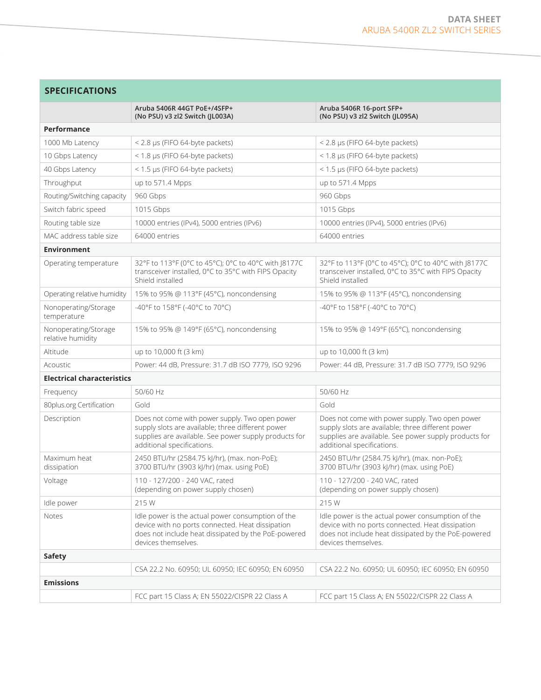| <b>SPECIFICATIONS</b> |
|-----------------------|
|-----------------------|

|                                           | Aruba 5406R 44GT PoE+/4SFP+<br>(No PSU) v3 zl2 Switch (JL003A)                                                                                                                              | Aruba 5406R 16-port SFP+<br>(No PSU) v3 zl2 Switch (JL095A)                                                                                                                                 |  |
|-------------------------------------------|---------------------------------------------------------------------------------------------------------------------------------------------------------------------------------------------|---------------------------------------------------------------------------------------------------------------------------------------------------------------------------------------------|--|
| Performance                               |                                                                                                                                                                                             |                                                                                                                                                                                             |  |
| 1000 Mb Latency                           | $<$ 2.8 µs (FIFO 64-byte packets)                                                                                                                                                           | < 2.8 µs (FIFO 64-byte packets)                                                                                                                                                             |  |
| 10 Gbps Latency                           | < 1.8 µs (FIFO 64-byte packets)                                                                                                                                                             | $<$ 1.8 µs (FIFO 64-byte packets)                                                                                                                                                           |  |
| 40 Gbps Latency                           | < 1.5 µs (FIFO 64-byte packets)                                                                                                                                                             | < 1.5 µs (FIFO 64-byte packets)                                                                                                                                                             |  |
| Throughput                                | up to 571.4 Mpps                                                                                                                                                                            | up to 571.4 Mpps                                                                                                                                                                            |  |
| Routing/Switching capacity                | 960 Gbps                                                                                                                                                                                    | 960 Gbps                                                                                                                                                                                    |  |
| Switch fabric speed                       | 1015 Gbps                                                                                                                                                                                   | 1015 Gbps                                                                                                                                                                                   |  |
| Routing table size                        | 10000 entries (IPv4), 5000 entries (IPv6)                                                                                                                                                   | 10000 entries (IPv4), 5000 entries (IPv6)                                                                                                                                                   |  |
| MAC address table size                    | 64000 entries                                                                                                                                                                               | 64000 entries                                                                                                                                                                               |  |
| <b>Environment</b>                        |                                                                                                                                                                                             |                                                                                                                                                                                             |  |
| Operating temperature                     | 32°F to 113°F (0°C to 45°C); 0°C to 40°C with J8177C<br>transceiver installed, 0°C to 35°C with FIPS Opacity<br>Shield installed                                                            | 32°F to 113°F (0°C to 45°C); 0°C to 40°C with J8177C<br>transceiver installed, 0°C to 35°C with FIPS Opacity<br>Shield installed                                                            |  |
| Operating relative humidity               | 15% to 95% @ 113°F (45°C), noncondensing                                                                                                                                                    | 15% to 95% @ 113°F (45°C), noncondensing                                                                                                                                                    |  |
| Nonoperating/Storage<br>temperature       | -40°F to 158°F (-40°C to 70°C)                                                                                                                                                              | -40°F to 158°F (-40°C to 70°C)                                                                                                                                                              |  |
| Nonoperating/Storage<br>relative humidity | 15% to 95% @ 149°F (65°C), noncondensing                                                                                                                                                    | 15% to 95% @ 149°F (65°C), noncondensing                                                                                                                                                    |  |
| Altitude                                  | up to 10,000 ft (3 km)                                                                                                                                                                      | up to 10,000 ft (3 km)                                                                                                                                                                      |  |
| Acoustic                                  | Power: 44 dB, Pressure: 31.7 dB ISO 7779, ISO 9296                                                                                                                                          | Power: 44 dB, Pressure: 31.7 dB ISO 7779, ISO 9296                                                                                                                                          |  |
| <b>Electrical characteristics</b>         |                                                                                                                                                                                             |                                                                                                                                                                                             |  |
| Frequency                                 | 50/60 Hz                                                                                                                                                                                    | 50/60 Hz                                                                                                                                                                                    |  |
| 80plus.org Certification                  | Gold                                                                                                                                                                                        | Gold                                                                                                                                                                                        |  |
| Description                               | Does not come with power supply. Two open power<br>supply slots are available; three different power<br>supplies are available. See power supply products for<br>additional specifications. | Does not come with power supply. Two open power<br>supply slots are available; three different power<br>supplies are available. See power supply products for<br>additional specifications. |  |
| Maximum heat<br>dissipation               | 2450 BTU/hr (2584.75 kJ/hr), (max. non-PoE);<br>3700 BTU/hr (3903 kJ/hr) (max. using PoE)                                                                                                   | 2450 BTU/hr (2584.75 kJ/hr), (max. non-PoE);<br>3700 BTU/hr (3903 kJ/hr) (max. using PoE)                                                                                                   |  |
| Voltage                                   | 110 - 127/200 - 240 VAC, rated<br>(depending on power supply chosen)                                                                                                                        | 110 - 127/200 - 240 VAC, rated<br>(depending on power supply chosen)                                                                                                                        |  |
| Idle power                                | 215 W                                                                                                                                                                                       | 215 W                                                                                                                                                                                       |  |
| Notes                                     | Idle power is the actual power consumption of the<br>device with no ports connected. Heat dissipation<br>does not include heat dissipated by the PoE-powered<br>devices themselves.         | Idle power is the actual power consumption of the<br>device with no ports connected. Heat dissipation<br>does not include heat dissipated by the PoE-powered<br>devices themselves.         |  |
| Safety                                    |                                                                                                                                                                                             |                                                                                                                                                                                             |  |
|                                           | CSA 22.2 No. 60950; UL 60950; IEC 60950; EN 60950                                                                                                                                           | CSA 22.2 No. 60950; UL 60950; IEC 60950; EN 60950                                                                                                                                           |  |
| <b>Emissions</b>                          |                                                                                                                                                                                             |                                                                                                                                                                                             |  |
|                                           | FCC part 15 Class A; EN 55022/CISPR 22 Class A                                                                                                                                              | FCC part 15 Class A; EN 55022/CISPR 22 Class A                                                                                                                                              |  |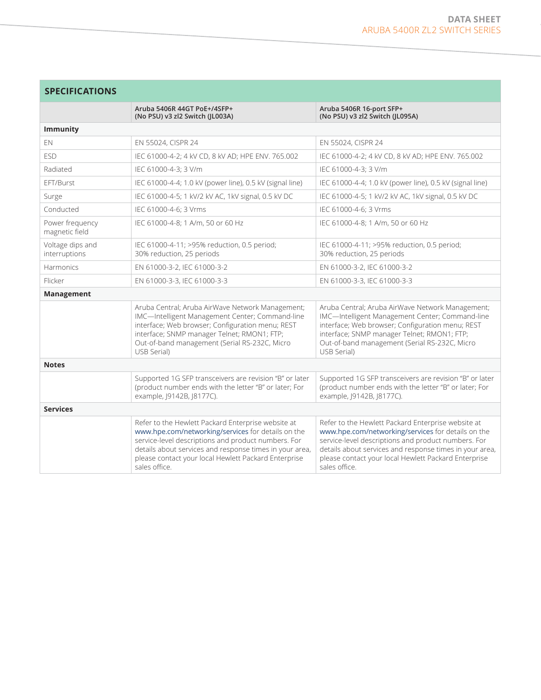# **SPECIFICATIONS**

|                                   | Aruba 5406R 44GT PoE+/4SFP+<br>(No PSU) v3 zl2 Switch (JL003A)                                                                                                                                                                                                                                      | Aruba 5406R 16-port SFP+<br>(No PSU) v3 zl2 Switch (JL095A)                                                                                                                                                                                                                                         |  |
|-----------------------------------|-----------------------------------------------------------------------------------------------------------------------------------------------------------------------------------------------------------------------------------------------------------------------------------------------------|-----------------------------------------------------------------------------------------------------------------------------------------------------------------------------------------------------------------------------------------------------------------------------------------------------|--|
| <b>Immunity</b>                   |                                                                                                                                                                                                                                                                                                     |                                                                                                                                                                                                                                                                                                     |  |
| EN                                | EN 55024, CISPR 24                                                                                                                                                                                                                                                                                  | EN 55024, CISPR 24                                                                                                                                                                                                                                                                                  |  |
| <b>FSD</b>                        | IEC 61000-4-2; 4 kV CD, 8 kV AD; HPE ENV. 765.002                                                                                                                                                                                                                                                   | IEC 61000-4-2; 4 kV CD, 8 kV AD; HPE ENV. 765.002                                                                                                                                                                                                                                                   |  |
| Radiated                          | IEC 61000-4-3: 3 V/m                                                                                                                                                                                                                                                                                | IEC 61000-4-3: 3 V/m                                                                                                                                                                                                                                                                                |  |
| FFT/Burst                         | IEC 61000-4-4; 1.0 kV (power line), 0.5 kV (signal line)                                                                                                                                                                                                                                            | IEC 61000-4-4; 1.0 kV (power line), 0.5 kV (signal line)                                                                                                                                                                                                                                            |  |
| Surge                             | IEC 61000-4-5; 1 kV/2 kV AC, 1kV signal, 0.5 kV DC                                                                                                                                                                                                                                                  | IEC 61000-4-5; 1 kV/2 kV AC, 1kV signal, 0.5 kV DC                                                                                                                                                                                                                                                  |  |
| Conducted                         | IEC 61000-4-6; 3 Vrms                                                                                                                                                                                                                                                                               | IEC 61000-4-6; 3 Vrms                                                                                                                                                                                                                                                                               |  |
| Power frequency<br>magnetic field | IEC 61000-4-8; 1 A/m, 50 or 60 Hz                                                                                                                                                                                                                                                                   | IEC 61000-4-8; 1 A/m, 50 or 60 Hz                                                                                                                                                                                                                                                                   |  |
| Voltage dips and<br>interruptions | IEC 61000-4-11; >95% reduction, 0.5 period;<br>30% reduction, 25 periods                                                                                                                                                                                                                            | IEC 61000-4-11; >95% reduction, 0.5 period;<br>30% reduction, 25 periods                                                                                                                                                                                                                            |  |
| Harmonics                         | EN 61000-3-2, IEC 61000-3-2                                                                                                                                                                                                                                                                         | EN 61000-3-2, IEC 61000-3-2                                                                                                                                                                                                                                                                         |  |
| Flicker                           | EN 61000-3-3, IEC 61000-3-3                                                                                                                                                                                                                                                                         | EN 61000-3-3, IEC 61000-3-3                                                                                                                                                                                                                                                                         |  |
| Management                        |                                                                                                                                                                                                                                                                                                     |                                                                                                                                                                                                                                                                                                     |  |
|                                   | Aruba Central; Aruba AirWave Network Management;<br>IMC-Intelligent Management Center; Command-line<br>interface; Web browser; Configuration menu; REST<br>interface; SNMP manager Telnet; RMON1; FTP;<br>Out-of-band management (Serial RS-232C, Micro<br>USB Serial)                              | Aruba Central; Aruba AirWave Network Management;<br>IMC-Intelligent Management Center; Command-line<br>interface; Web browser; Configuration menu; REST<br>interface; SNMP manager Telnet; RMON1; FTP;<br>Out-of-band management (Serial RS-232C, Micro<br>USB Serial)                              |  |
| <b>Notes</b>                      |                                                                                                                                                                                                                                                                                                     |                                                                                                                                                                                                                                                                                                     |  |
|                                   | Supported 1G SFP transceivers are revision "B" or later<br>(product number ends with the letter "B" or later; For<br>example, J9142B, J8177C).                                                                                                                                                      | Supported 1G SFP transceivers are revision "B" or later<br>(product number ends with the letter "B" or later; For<br>example, J9142B, J8177C).                                                                                                                                                      |  |
| <b>Services</b>                   |                                                                                                                                                                                                                                                                                                     |                                                                                                                                                                                                                                                                                                     |  |
|                                   | Refer to the Hewlett Packard Enterprise website at<br>www.hpe.com/networking/services for details on the<br>service-level descriptions and product numbers. For<br>details about services and response times in your area,<br>please contact your local Hewlett Packard Enterprise<br>sales office. | Refer to the Hewlett Packard Enterprise website at<br>www.hpe.com/networking/services for details on the<br>service-level descriptions and product numbers. For<br>details about services and response times in your area,<br>please contact your local Hewlett Packard Enterprise<br>sales office. |  |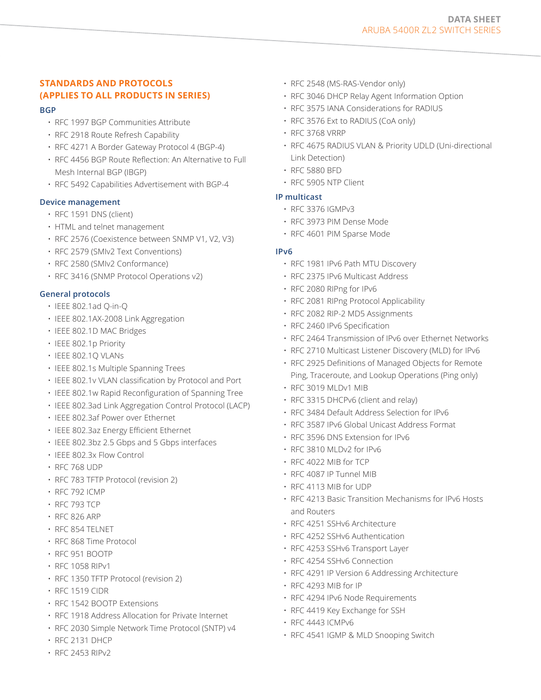# **STANDARDS AND PROTOCOLS (APPLIES TO ALL PRODUCTS IN SERIES)**

#### **BGP**

- RFC 1997 BGP Communities Attribute
- RFC 2918 Route Refresh Capability
- RFC 4271 A Border Gateway Protocol 4 (BGP-4)
- RFC 4456 BGP Route Reflection: An Alternative to Full Mesh Internal BGP (IBGP)
- RFC 5492 Capabilities Advertisement with BGP-4

#### **Device management**

- RFC 1591 DNS (client)
- HTML and telnet management
- RFC 2576 (Coexistence between SNMP V1, V2, V3)
- RFC 2579 (SMIv2 Text Conventions)
- RFC 2580 (SMIv2 Conformance)
- RFC 3416 (SNMP Protocol Operations v2)

# **General protocols**

- IEEE 802.1ad Q-in-Q
- IEEE 802.1AX-2008 Link Aggregation
- IEEE 802.1D MAC Bridges
- IEEE 802.1p Priority
- IEEE 802.1Q VLANs
- IEEE 802.1s Multiple Spanning Trees
- IEEE 802.1v VLAN classification by Protocol and Port
- IEEE 802.1w Rapid Reconfiguration of Spanning Tree
- IEEE 802.3ad Link Aggregation Control Protocol (LACP)
- IEEE 802.3af Power over Ethernet
- IEEE 802.3az Energy Efficient Ethernet
- IEEE 802.3bz 2.5 Gbps and 5 Gbps interfaces
- IEEE 802.3x Flow Control
- RFC 768 UDP
- RFC 783 TFTP Protocol (revision 2)
- RFC 792 ICMP
- RFC 793 TCP
- RFC 826 ARP
- RFC 854 TELNET
- RFC 868 Time Protocol
- RFC 951 BOOTP
- RFC 1058 RIPv1
- RFC 1350 TFTP Protocol (revision 2)
- RFC 1519 CIDR
- RFC 1542 BOOTP Extensions
- RFC 1918 Address Allocation for Private Internet
- RFC 2030 Simple Network Time Protocol (SNTP) v4
- RFC 2131 DHCP
- RFC 2453 RIPv2
- RFC 2548 (MS-RAS-Vendor only)
- RFC 3046 DHCP Relay Agent Information Option
- RFC 3575 IANA Considerations for RADIUS
- RFC 3576 Ext to RADIUS (CoA only)
- RFC 3768 VRRP
- RFC 4675 RADIUS VLAN & Priority UDLD (Uni-directional Link Detection)
- RFC 5880 BFD
- RFC 5905 NTP Client

#### **IP multicast**

- RFC 3376 IGMPv3
- RFC 3973 PIM Dense Mode
- RFC 4601 PIM Sparse Mode

#### **IPv6**

- RFC 1981 IPv6 Path MTU Discovery
- RFC 2375 IPv6 Multicast Address
- RFC 2080 RIPng for IPv6
- RFC 2081 RIPng Protocol Applicability
- RFC 2082 RIP-2 MD5 Assignments
- RFC 2460 IPv6 Specification
- RFC 2464 Transmission of IPv6 over Ethernet Networks
- RFC 2710 Multicast Listener Discovery (MLD) for IPv6
- RFC 2925 Definitions of Managed Objects for Remote Ping, Traceroute, and Lookup Operations (Ping only)
- RFC 3019 MLDv1 MIB
- RFC 3315 DHCPv6 (client and relay)
- RFC 3484 Default Address Selection for IPv6
- RFC 3587 IPv6 Global Unicast Address Format
- RFC 3596 DNS Extension for IPv6
- RFC 3810 MLDv2 for IPv6
- RFC 4022 MIB for TCP
- RFC 4087 IP Tunnel MIB
- RFC 4113 MIB for UDP
- RFC 4213 Basic Transition Mechanisms for IPv6 Hosts and Routers
- RFC 4251 SSHv6 Architecture
- RFC 4252 SSHv6 Authentication
- RFC 4253 SSHv6 Transport Layer
- RFC 4254 SSHv6 Connection
- RFC 4291 IP Version 6 Addressing Architecture
- RFC 4293 MIB for IP
- RFC 4294 IPv6 Node Requirements
- RFC 4419 Key Exchange for SSH
- RFC 4443 ICMPv6
- RFC 4541 IGMP & MLD Snooping Switch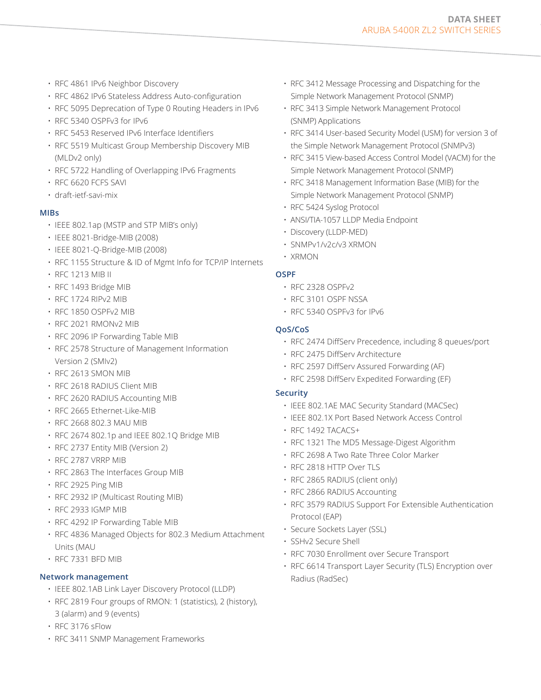- RFC 4861 IPv6 Neighbor Discovery
- RFC 4862 IPv6 Stateless Address Auto-configuration
- RFC 5095 Deprecation of Type 0 Routing Headers in IPv6
- RFC 5340 OSPFv3 for IPv6
- RFC 5453 Reserved IPv6 Interface Identifiers
- RFC 5519 Multicast Group Membership Discovery MIB (MLDv2 only)
- RFC 5722 Handling of Overlapping IPv6 Fragments
- RFC 6620 FCFS SAVI
- draft-ietf-savi-mix

# **MIBs**

- IEEE 802.1ap (MSTP and STP MIB's only)
- IEEE 8021-Bridge-MIB (2008)
- IEEE 8021-Q-Bridge-MIB (2008)
- RFC 1155 Structure & ID of Mgmt Info for TCP/IP Internets
- RFC 1213 MIB II
- RFC 1493 Bridge MIB
- RFC 1724 RIPv2 MIB
- RFC 1850 OSPFv2 MIB
- RFC 2021 RMONv2 MIB
- RFC 2096 IP Forwarding Table MIB
- RFC 2578 Structure of Management Information Version 2 (SMIv2)
- RFC 2613 SMON MIB
- RFC 2618 RADIUS Client MIB
- RFC 2620 RADIUS Accounting MIB
- RFC 2665 Ethernet-Like-MIB
- RFC 2668 802.3 MAU MIB
- RFC 2674 802.1p and IEEE 802.1Q Bridge MIB
- RFC 2737 Entity MIB (Version 2)
- RFC 2787 VRRP MIB
- RFC 2863 The Interfaces Group MIB
- RFC 2925 Ping MIB
- RFC 2932 IP (Multicast Routing MIB)
- RFC 2933 IGMP MIB
- RFC 4292 IP Forwarding Table MIB
- RFC 4836 Managed Objects for 802.3 Medium Attachment Units (MAU
- RFC 7331 BFD MIB

# **Network management**

- IEEE 802.1AB Link Layer Discovery Protocol (LLDP)
- RFC 2819 Four groups of RMON: 1 (statistics), 2 (history), 3 (alarm) and 9 (events)
- RFC 3176 sFlow
- RFC 3411 SNMP Management Frameworks
- RFC 3412 Message Processing and Dispatching for the Simple Network Management Protocol (SNMP)
- RFC 3413 Simple Network Management Protocol (SNMP) Applications
- RFC 3414 User-based Security Model (USM) for version 3 of the Simple Network Management Protocol (SNMPv3)
- RFC 3415 View-based Access Control Model (VACM) for the Simple Network Management Protocol (SNMP)
- RFC 3418 Management Information Base (MIB) for the Simple Network Management Protocol (SNMP)
- RFC 5424 Syslog Protocol
- ANSI/TIA-1057 LLDP Media Endpoint
- Discovery (LLDP-MED)
- SNMPv1/v2c/v3 XRMON
- XRMON

# **OSPF**

- RFC 2328 OSPFv2
- RFC 3101 OSPF NSSA
- RFC 5340 OSPFv3 for IPv6

# **QoS/CoS**

- RFC 2474 DiffServ Precedence, including 8 queues/port
- RFC 2475 DiffServ Architecture
- RFC 2597 DiffServ Assured Forwarding (AF)
- RFC 2598 DiffServ Expedited Forwarding (EF)

# **Security**

- IEEE 802.1AE MAC Security Standard (MACSec)
- IEEE 802.1X Port Based Network Access Control
- RFC 1492 TACACS+
- RFC 1321 The MD5 Message-Digest Algorithm
- RFC 2698 A Two Rate Three Color Marker
- RFC 2818 HTTP Over TLS
- RFC 2865 RADIUS (client only)
- RFC 2866 RADIUS Accounting
- RFC 3579 RADIUS Support For Extensible Authentication Protocol (EAP)
- Secure Sockets Layer (SSL)
- SSHv2 Secure Shell
- RFC 7030 Enrollment over Secure Transport
- RFC 6614 Transport Layer Security (TLS) Encryption over Radius (RadSec)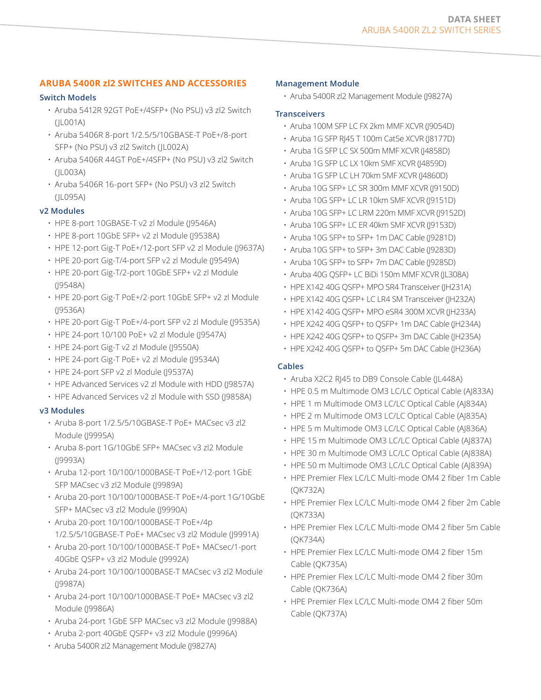# **ARUBA 5400R zl2 SWITCHES AND ACCESSORIES**

# **Switch Models**

- Aruba 5412R 92GT PoE+/4SFP+ (No PSU) v3 zl2 Switch (JL001A)
- Aruba 5406R 8-port 1/2.5/5/10GBASE-T PoE+/8-port SFP+ (No PSU) v3 zl2 Switch (JL002A)
- Aruba 5406R 44GT PoE+/4SFP+ (No PSU) v3 zl2 Switch (JL003A)
- Aruba 5406R 16-port SFP+ (No PSU) v3 zl2 Switch (JL095A)

# **v2 Modules**

- HPE 8-port 10GBASE-T v2 zl Module (J9546A)
- HPE 8-port 10GbE SFP+ v2 zl Module (J9538A)
- HPE 12-port Gig-T PoE+/12-port SFP v2 zl Module (J9637A)
- HPE 20-port Gig-T/4-port SFP v2 zl Module (J9549A)
- HPE 20-port Gig-T/2-port 10GbE SFP+ v2 zl Module (J9548A)
- HPE 20-port Gig-T PoE+/2-port 10GbE SFP+ v2 zl Module (J9536A)
- HPE 20-port Gig-T PoE+/4-port SFP v2 zl Module (J9535A)
- HPE 24-port 10/100 PoE+ v2 zl Module (J9547A)
- HPE 24-port Gig-T v2 zl Module (J9550A)
- HPE 24-port Gig-T PoE+ v2 zl Module (J9534A)
- HPE 24-port SFP v2 zl Module (J9537A)
- HPE Advanced Services v2 zl Module with HDD (J9857A)
- HPE Advanced Services v2 zl Module with SSD (J9858A)

# **v3 Modules**

- Aruba 8-port 1/2.5/5/10GBASE-T PoE+ MACsec v3 zl2 Module (J9995A)
- Aruba 8-port 1G/10GbE SFP+ MACsec v3 zl2 Module (J9993A)
- Aruba 12-port 10/100/1000BASE-T PoE+/12-port 1GbE SFP MACsec v3 zl2 Module (J9989A)
- Aruba 20-port 10/100/1000BASE-T PoE+/4-port 1G/10GbE SFP+ MACsec v3 zl2 Module (J9990A)
- Aruba 20-port 10/100/1000BASE-T PoE+/4p 1/2.5/5/10GBASE-T PoE+ MACsec v3 zl2 Module (J9991A)
- Aruba 20-port 10/100/1000BASE-T PoE+ MACsec/1-port 40GbE QSFP+ v3 zl2 Module (J9992A)
- Aruba 24-port 10/100/1000BASE-T MACsec v3 zl2 Module (J9987A)
- Aruba 24-port 10/100/1000BASE-T PoE+ MACsec v3 zl2 Module (J9986A)
- Aruba 24-port 1GbE SFP MACsec v3 zl2 Module (J9988A)
- Aruba 2-port 40GbE QSFP+ v3 zl2 Module (J9996A)
- Aruba 5400R zl2 Management Module (J9827A)

# **Management Module**

• Aruba 5400R zl2 Management Module (J9827A)

# **Transceivers**

- Aruba 100M SFP LC FX 2km MMF XCVR (J9054D)
- Aruba 1G SFP RJ45 T 100m Cat5e XCVR (J8177D)
- Aruba 1G SFP LC SX 500m MMF XCVR (J4858D)
- Aruba 1G SFP LC LX 10km SMF XCVR (J4859D)
- Aruba 1G SFP LC LH 70km SMF XCVR (J4860D)
- Aruba 10G SFP+ LC SR 300m MMF XCVR (J9150D)
- Aruba 10G SFP+ LC LR 10km SMF XCVR (J9151D)
- Aruba 10G SFP+ LC LRM 220m MMF XCVR (J9152D)
- Aruba 10G SFP+ LC ER 40km SMF XCVR (J9153D)
- Aruba 10G SFP+ to SFP+ 1m DAC Cable (J9281D)
- Aruba 10G SFP+ to SFP+ 3m DAC Cable (J9283D)
- Aruba 10G SFP+ to SFP+ 7m DAC Cable (J9285D)
- Aruba 40G QSFP+ LC BiDi 150m MMF XCVR (JL308A)
- HPE X142 40G QSFP+ MPO SR4 Transceiver (JH231A)
- HPE X142 40G QSFP+ LC LR4 SM Transceiver (JH232A)
- HPE X142 40G QSFP+ MPO eSR4 300M XCVR (JH233A)
- HPE X242 40G QSFP+ to QSFP+ 1m DAC Cable (JH234A)
- HPE X242 40G QSFP+ to QSFP+ 3m DAC Cable (JH235A)
- HPE X242 40G QSFP+ to QSFP+ 5m DAC Cable (JH236A)

# **Cables**

- Aruba X2C2 RJ45 to DB9 Console Cable (JL448A)
- HPE 0.5 m Multimode OM3 LC/LC Optical Cable (AJ833A)
- HPE 1 m Multimode OM3 LC/LC Optical Cable (AJ834A)
- HPE 2 m Multimode OM3 LC/LC Optical Cable (AJ835A)
- HPE 5 m Multimode OM3 LC/LC Optical Cable (AJ836A)
- HPE 15 m Multimode OM3 LC/LC Optical Cable (AJ837A)
- HPE 30 m Multimode OM3 LC/LC Optical Cable (AJ838A)
- HPE 50 m Multimode OM3 LC/LC Optical Cable (AJ839A)
- HPE Premier Flex LC/LC Multi-mode OM4 2 fiber 1m Cable (QK732A)
- HPE Premier Flex LC/LC Multi-mode OM4 2 fiber 2m Cable (QK733A)
- HPE Premier Flex LC/LC Multi-mode OM4 2 fiber 5m Cable (QK734A)
- HPE Premier Flex LC/LC Multi-mode OM4 2 fiber 15m Cable (QK735A)
- HPE Premier Flex LC/LC Multi-mode OM4 2 fiber 30m Cable (QK736A)
- HPE Premier Flex LC/LC Multi-mode OM4 2 fiber 50m Cable (QK737A)